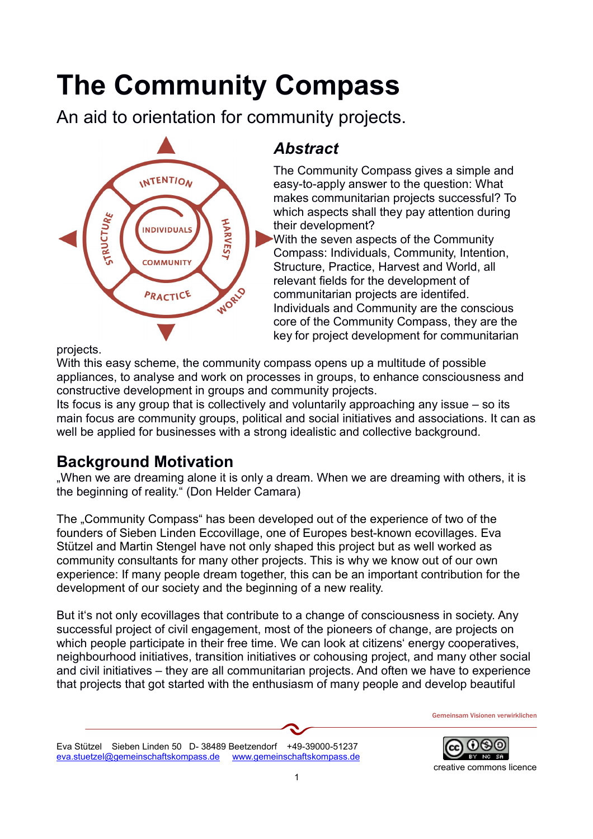# **The Community Compass**

An aid to orientation for community projects.



# *Abstract*

The Community Compass gives a simple and easy-to-apply answer to the question: What makes communitarian projects successful? To which aspects shall they pay attention during their development?

With the seven aspects of the Community Compass: Individuals, Community, Intention, Structure, Practice, Harvest and World, all relevant fields for the development of communitarian projects are identifed. Individuals and Community are the conscious core of the Community Compass, they are the key for project development for communitarian

projects.

With this easy scheme, the community compass opens up a multitude of possible appliances, to analyse and work on processes in groups, to enhance consciousness and constructive development in groups and community projects.

Its focus is any group that is collectively and voluntarily approaching any issue  $-$  so its main focus are community groups, political and social initiatives and associations. It can as well be applied for businesses with a strong idealistic and collective background.

## **Background Motivation**

..When we are dreaming alone it is only a dream. When we are dreaming with others, it is the beginning of reality." (Don Helder Camara)

The "Community Compass" has been developed out of the experience of two of the founders of Sieben Linden Eccovillage, one of Europes best-known ecovillages. Eva Stützel and Martin Stengel have not only shaped this project but as well worked as community consultants for many other projects. This is why we know out of our own experience: If many people dream together, this can be an important contribution for the development of our society and the beginning of a new reality.

But it's not only ecovillages that contribute to a change of consciousness in society. Any successful project of civil engagement, most of the pioneers of change, are projects on which people participate in their free time. We can look at citizens' energy cooperatives, neighbourhood initiatives, transition initiatives or cohousing project, and many other social and civil initiatives – they are all communitarian projects. And often we have to experience that projects that got started with the enthusiasm of many people and develop beautiful

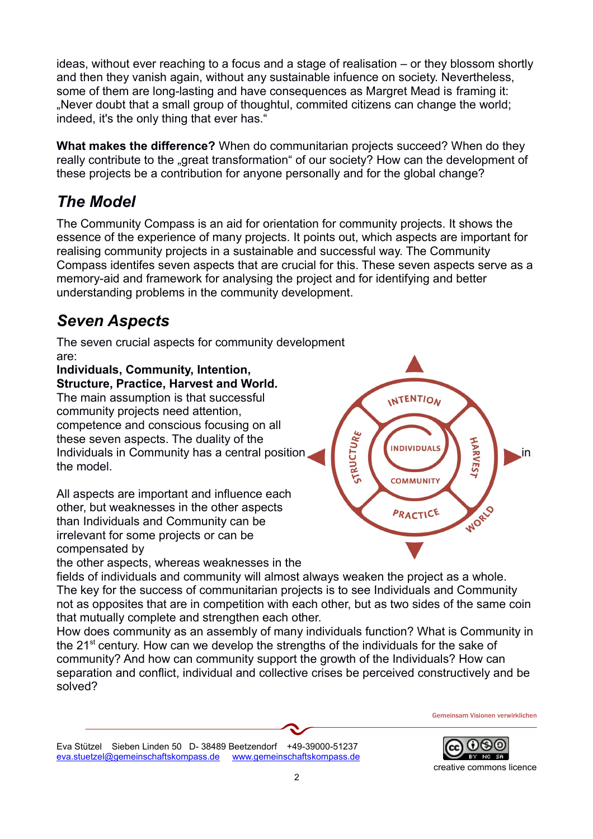ideas, without ever reaching to a focus and a stage of realisation – or they blossom shortly and then they vanish again, without any sustainable infuence on society. Nevertheless, some of them are long-lasting and have consequences as Margret Mead is framing it: "Never doubt that a small group of thoughtul, commited citizens can change the world; indeed, it's the only thing that ever has."

**What makes the difference?** When do communitarian projects succeed? When do they really contribute to the "great transformation" of our society? How can the development of these projects be a contribution for anyone personally and for the global change?

## *The Model*

The Community Compass is an aid for orientation for community projects. It shows the essence of the experience of many projects. It points out, which aspects are important for realising community projects in a sustainable and successful way. The Community Compass identifes seven aspects that are crucial for this. These seven aspects serve as a memory-aid and framework for analysing the project and for identifying and better understanding problems in the community development.

## *Seven Aspects*

The seven crucial aspects for community development are:

**Individuals, Community, Intention, Structure, Practice, Harvest and World.**

The main assumption is that successful community projects need attention, competence and conscious focusing on all these seven aspects. The duality of the these seven aspects. The duality of the Individuals in Community has a central position in  $\left(\begin{array}{c} \frac{1}{5} \\ \frac{1}{5} \\ \frac{1}{5} \\ \frac{1}{5} \\ \frac{1}{5} \\ \frac{1}{5} \\ \frac{1}{5} \\ \frac{1}{5} \\ \frac{1}{5} \\ \frac{1}{5} \\ \frac{1}{5} \\ \frac{1}{5} \\ \frac{1}{5} \\ \frac{1}{5} \\ \frac{1}{5} \\$ the model.

All aspects are important and influence each other, but weaknesses in the other aspects than Individuals and Community can be irrelevant for some projects or can be compensated by

the other aspects, whereas weaknesses in the

**COMMUNITY** WORLD PRACTICE

**INTENTION** 

fields of individuals and community will almost always weaken the project as a whole. The key for the success of communitarian projects is to see Individuals and Community not as opposites that are in competition with each other, but as two sides of the same coin that mutually complete and strengthen each other.

How does community as an assembly of many individuals function? What is Community in the  $21<sup>st</sup>$  century. How can we develop the strengths of the individuals for the sake of community? And how can community support the growth of the Individuals? How can separation and conflict, individual and collective crises be perceived constructively and be solved?

Eva Stützel Sieben Linden 50 D- 38489 Beetzendorf +49-39000-51237  [eva.stuetzel@ gemeinschaftskompass.de](mailto:eva.stuetzel@gemeinschaftskompass.de) [www.gemeinschafts kompass.de](http://www.gemeinschaftsberatung.de/)



Gemeinsam Visionen verwirklichen

creative commons licence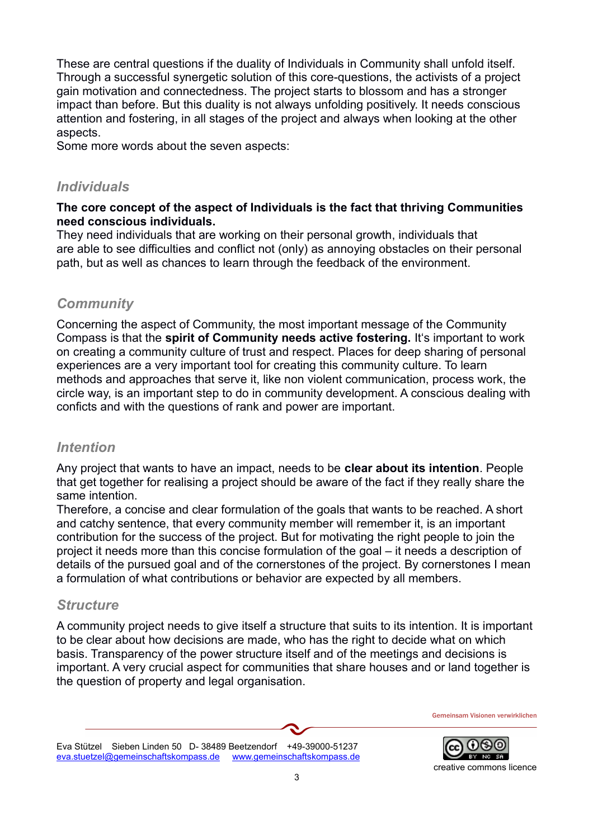These are central questions if the duality of Individuals in Community shall unfold itself. Through a successful synergetic solution of this core-questions, the activists of a project gain motivation and connectedness. The project starts to blossom and has a stronger impact than before. But this duality is not always unfolding positively. It needs conscious attention and fostering, in all stages of the project and always when looking at the other aspects.

Some more words about the seven aspects:

#### *Individuals*

#### **The core concept of the aspect of Individuals is the fact that thriving Communities need conscious individuals.**

They need individuals that are working on their personal growth, individuals that are able to see difficulties and conflict not (only) as annoying obstacles on their personal path, but as well as chances to learn through the feedback of the environment.

#### *Community*

Concerning the aspect of Community, the most important message of the Community Compass is that the **spirit of Community needs active fostering.** It's important to work on creating a community culture of trust and respect. Places for deep sharing of personal experiences are a very important tool for creating this community culture. To learn methods and approaches that serve it, like non violent communication, process work, the circle way, is an important step to do in community development. A conscious dealing with conficts and with the questions of rank and power are important.

#### *Intention*

Any project that wants to have an impact, needs to be **clear about its intention**. People that get together for realising a project should be aware of the fact if they really share the same intention.

Therefore, a concise and clear formulation of the goals that wants to be reached. A short and catchy sentence, that every community member will remember it, is an important contribution for the success of the project. But for motivating the right people to join the project it needs more than this concise formulation of the goal – it needs a description of details of the pursued goal and of the cornerstones of the project. By cornerstones I mean a formulation of what contributions or behavior are expected by all members.

#### *Structure*

A community project needs to give itself a structure that suits to its intention. It is important to be clear about how decisions are made, who has the right to decide what on which basis. Transparency of the power structure itself and of the meetings and decisions is important. A very crucial aspect for communities that share houses and or land together is the question of property and legal organisation.

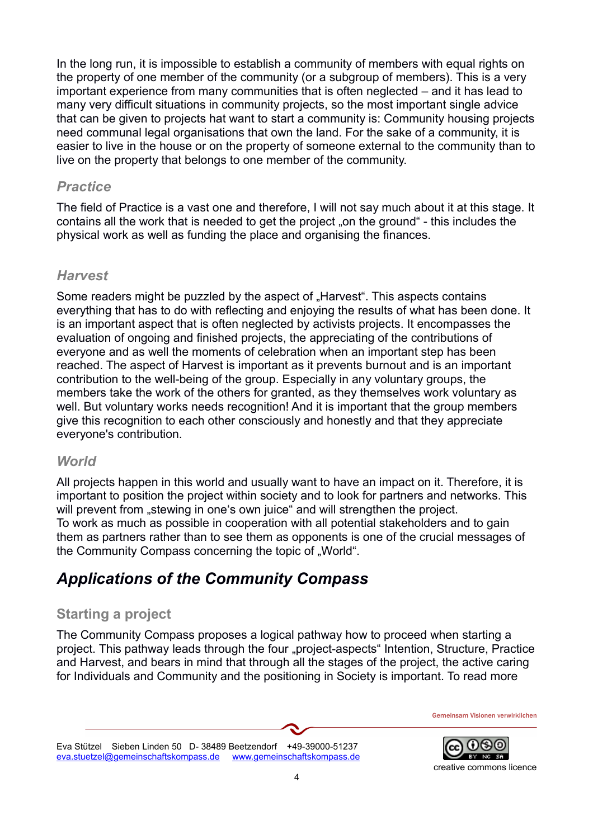In the long run, it is impossible to establish a community of members with equal rights on the property of one member of the community (or a subgroup of members). This is a very important experience from many communities that is often neglected – and it has lead to many very difficult situations in community projects, so the most important single advice that can be given to projects hat want to start a community is: Community housing projects need communal legal organisations that own the land. For the sake of a community, it is easier to live in the house or on the property of someone external to the community than to live on the property that belongs to one member of the community.

#### *Practice*

The field of Practice is a vast one and therefore, I will not say much about it at this stage. It contains all the work that is needed to get the project "on the ground" - this includes the physical work as well as funding the place and organising the finances.

#### *Harvest*

Some readers might be puzzled by the aspect of "Harvest". This aspects contains everything that has to do with reflecting and enjoying the results of what has been done. It is an important aspect that is often neglected by activists projects. It encompasses the evaluation of ongoing and finished projects, the appreciating of the contributions of everyone and as well the moments of celebration when an important step has been reached. The aspect of Harvest is important as it prevents burnout and is an important contribution to the well-being of the group. Especially in any voluntary groups, the members take the work of the others for granted, as they themselves work voluntary as well. But voluntary works needs recognition! And it is important that the group members give this recognition to each other consciously and honestly and that they appreciate everyone's contribution.

#### *World*

All projects happen in this world and usually want to have an impact on it. Therefore, it is important to position the project within society and to look for partners and networks. This will prevent from "stewing in one's own juice" and will strengthen the project. To work as much as possible in cooperation with all potential stakeholders and to gain them as partners rather than to see them as opponents is one of the crucial messages of the Community Compass concerning the topic of . World".

## *Applications of the Community Compass*

## **Starting a project**

The Community Compass proposes a logical pathway how to proceed when starting a project. This pathway leads through the four "project-aspects" Intention, Structure, Practice and Harvest, and bears in mind that through all the stages of the project, the active caring for Individuals and Community and the positioning in Society is important. To read more

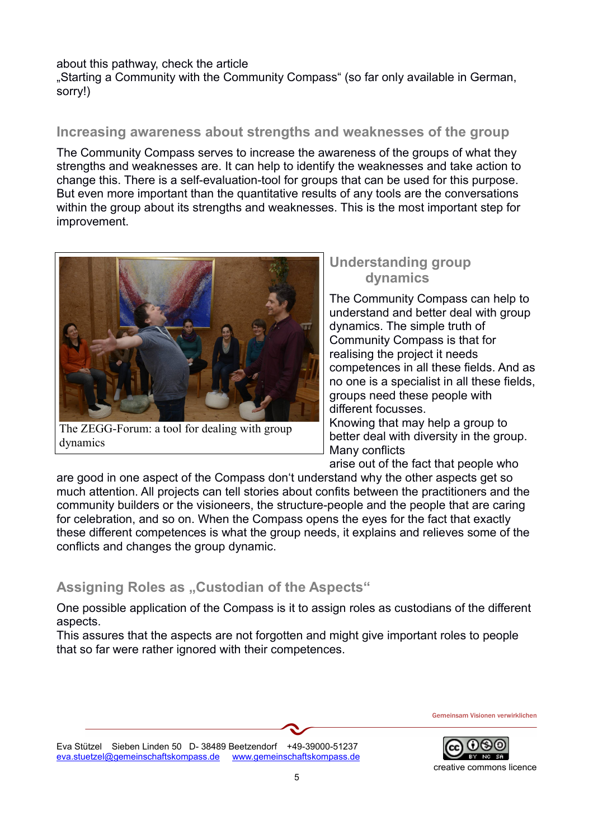#### about this pathway, check the article

"Starting a Community with the Community Compass" (so far only available in German, sorry!)

#### **Increasing awareness about strengths and weaknesses of the group**

The Community Compass serves to increase the awareness of the groups of what they strengths and weaknesses are. It can help to identify the weaknesses and take action to change this. There is a self-evaluation-tool for groups that can be used for this purpose. But even more important than the quantitative results of any tools are the conversations within the group about its strengths and weaknesses. This is the most important step for improvement.



The ZEGG-Forum: a tool for dealing with group dynamics

#### **Understanding group dynamics**

The Community Compass can help to understand and better deal with group dynamics. The simple truth of Community Compass is that for realising the project it needs competences in all these fields. And as no one is a specialist in all these fields, groups need these people with different focusses. Knowing that may help a group to better deal with diversity in the group. Many conflicts

arise out of the fact that people who

are good in one aspect of the Compass don't understand why the other aspects get so much attention. All projects can tell stories about confits between the practitioners and the community builders or the visioneers, the structure-people and the people that are caring for celebration, and so on. When the Compass opens the eyes for the fact that exactly these different competences is what the group needs, it explains and relieves some of the conflicts and changes the group dynamic.

## Assigning Roles as "Custodian of the Aspects"

One possible application of the Compass is it to assign roles as custodians of the different aspects.

This assures that the aspects are not forgotten and might give important roles to people that so far were rather ignored with their competences.



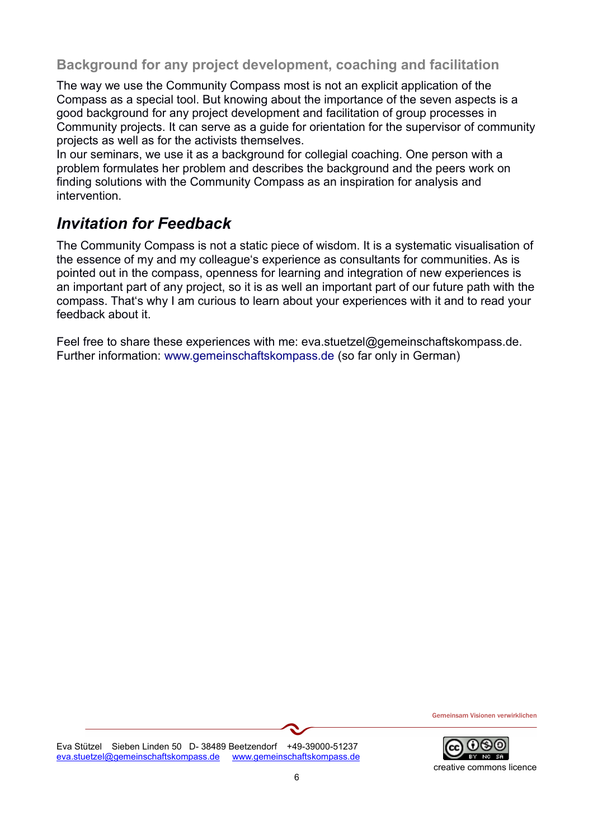## **Background for any project development, coaching and facilitation**

The way we use the Community Compass most is not an explicit application of the Compass as a special tool. But knowing about the importance of the seven aspects is a good background for any project development and facilitation of group processes in Community projects. It can serve as a guide for orientation for the supervisor of community projects as well as for the activists themselves.

In our seminars, we use it as a background for collegial coaching. One person with a problem formulates her problem and describes the background and the peers work on finding solutions with the Community Compass as an inspiration for analysis and intervention.

## *Invitation for Feedback*

The Community Compass is not a static piece of wisdom. It is a systematic visualisation of the essence of my and my colleague's experience as consultants for communities. As is pointed out in the compass, openness for learning and integration of new experiences is an important part of any project, so it is as well an important part of our future path with the compass. That's why I am curious to learn about your experiences with it and to read your feedback about it.

Feel free to share these experiences with me: eva.stuetzel@gemeinschaftskompass.de. Further information: www.gemeinschaftskompass.de (so far only in German)